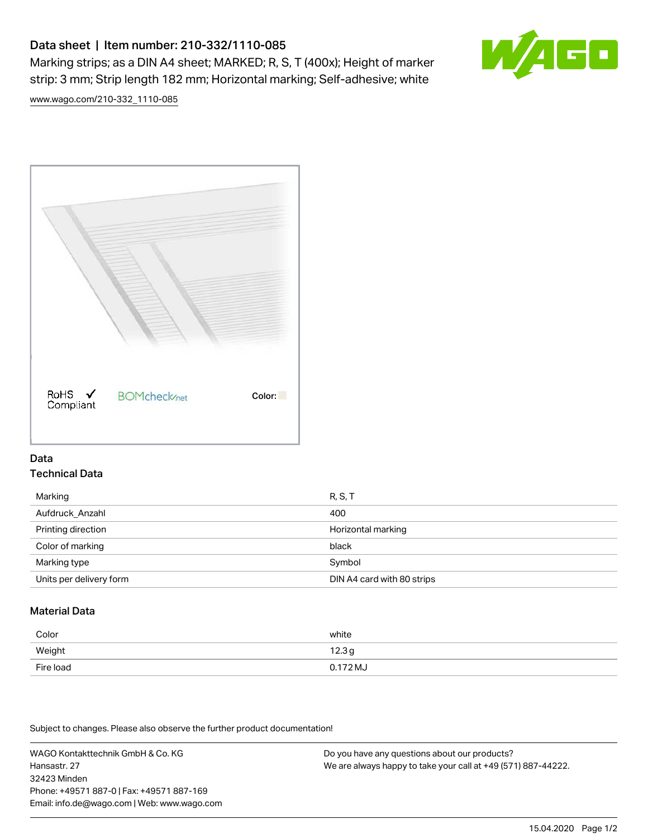# Data sheet | Item number: 210-332/1110-085

Marking strips; as a DIN A4 sheet; MARKED; R, S, T (400x); Height of marker strip: 3 mm; Strip length 182 mm; Horizontal marking; Self-adhesive; white



[www.wago.com/210-332\\_1110-085](http://www.wago.com/210-332_1110-085)



### Data Technical Data

| Marking                 | R, S, T                    |
|-------------------------|----------------------------|
| Aufdruck_Anzahl         | 400                        |
| Printing direction      | Horizontal marking         |
| Color of marking        | black                      |
| Marking type            | Symbol                     |
| Units per delivery form | DIN A4 card with 80 strips |

## Material Data

| Color     | white               |
|-----------|---------------------|
| Weight    | 12.3g               |
| Fire load | $0.172 \mathrm{MJ}$ |

Subject to changes. Please also observe the further product documentation!

WAGO Kontakttechnik GmbH & Co. KG Hansastr. 27 32423 Minden Phone: +49571 887-0 | Fax: +49571 887-169 Email: info.de@wago.com | Web: www.wago.com

Do you have any questions about our products? We are always happy to take your call at +49 (571) 887-44222.